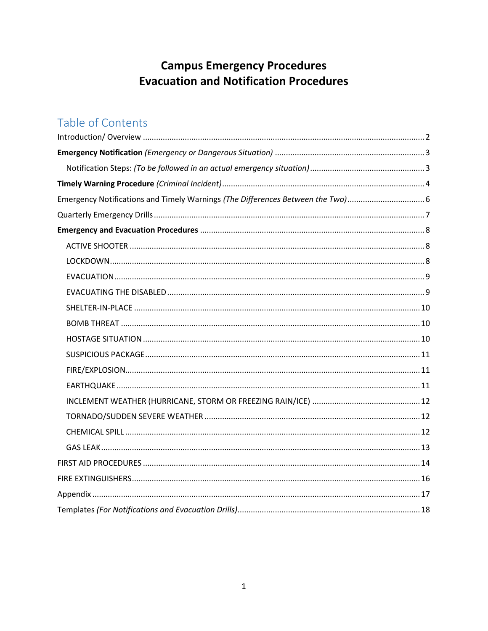# **Campus Emergency Procedures Evacuation and Notification Procedures**

# Table of Contents

| Emergency Notifications and Timely Warnings (The Differences Between the Two) |  |
|-------------------------------------------------------------------------------|--|
|                                                                               |  |
|                                                                               |  |
|                                                                               |  |
|                                                                               |  |
|                                                                               |  |
|                                                                               |  |
|                                                                               |  |
|                                                                               |  |
|                                                                               |  |
|                                                                               |  |
|                                                                               |  |
|                                                                               |  |
|                                                                               |  |
|                                                                               |  |
|                                                                               |  |
|                                                                               |  |
|                                                                               |  |
|                                                                               |  |
|                                                                               |  |
|                                                                               |  |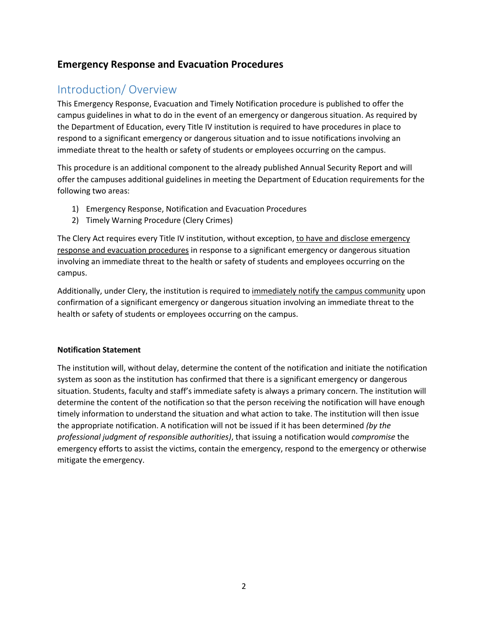## **Emergency Response and Evacuation Procedures**

## <span id="page-1-0"></span>Introduction/ Overview

This Emergency Response, Evacuation and Timely Notification procedure is published to offer the campus guidelines in what to do in the event of an emergency or dangerous situation. As required by the Department of Education, every Title IV institution is required to have procedures in place to respond to a significant emergency or dangerous situation and to issue notifications involving an immediate threat to the health or safety of students or employees occurring on the campus.

This procedure is an additional component to the already published Annual Security Report and will offer the campuses additional guidelines in meeting the Department of Education requirements for the following two areas:

- 1) Emergency Response, Notification and Evacuation Procedures
- 2) Timely Warning Procedure (Clery Crimes)

The Clery Act requires every Title IV institution, without exception, to have and disclose emergency response and evacuation procedures in response to a significant emergency or dangerous situation involving an immediate threat to the health or safety of students and employees occurring on the campus.

Additionally, under Clery, the institution is required to immediately notify the campus community upon confirmation of a significant emergency or dangerous situation involving an immediate threat to the health or safety of students or employees occurring on the campus.

#### **Notification Statement**

The institution will, without delay, determine the content of the notification and initiate the notification system as soon as the institution has confirmed that there is a significant emergency or dangerous situation. Students, faculty and staff's immediate safety is always a primary concern. The institution will determine the content of the notification so that the person receiving the notification will have enough timely information to understand the situation and what action to take. The institution will then issue the appropriate notification. A notification will not be issued if it has been determined *(by the professional judgment of responsible authorities)*, that issuing a notification would *compromise* the emergency efforts to assist the victims, contain the emergency, respond to the emergency or otherwise mitigate the emergency.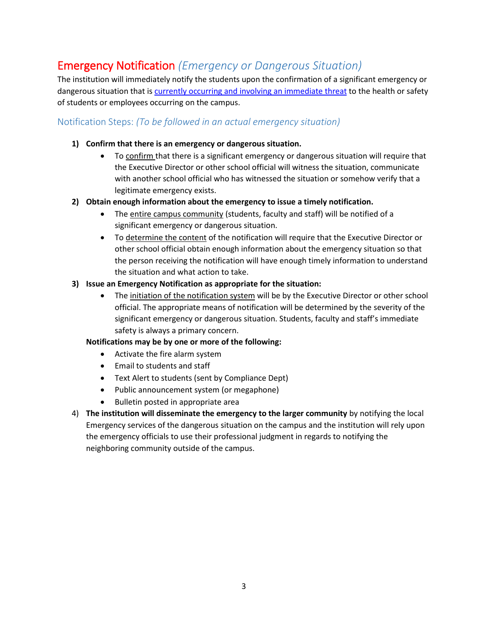## <span id="page-2-0"></span>Emergency Notification *(Emergency or Dangerous Situation)*

The institution will immediately notify the students upon the confirmation of a significant emergency or dangerous situation that is currently occurring and involving an immediate threat to the health or safety of students or employees occurring on the campus.

## <span id="page-2-1"></span>Notification Steps: *(To be followed in an actual emergency situation)*

### **1) Confirm that there is an emergency or dangerous situation.**

- To confirm that there is a significant emergency or dangerous situation will require that the Executive Director or other school official will witness the situation, communicate with another school official who has witnessed the situation or somehow verify that a legitimate emergency exists.
- **2) Obtain enough information about the emergency to issue a timely notification.**
	- The entire campus community (students, faculty and staff) will be notified of a significant emergency or dangerous situation.
	- To determine the content of the notification will require that the Executive Director or other school official obtain enough information about the emergency situation so that the person receiving the notification will have enough timely information to understand the situation and what action to take.

### **3) Issue an Emergency Notification as appropriate for the situation:**

• The initiation of the notification system will be by the Executive Director or other school official. The appropriate means of notification will be determined by the severity of the significant emergency or dangerous situation. Students, faculty and staff's immediate safety is always a primary concern.

#### **Notifications may be by one or more of the following:**

- Activate the fire alarm system
- Email to students and staff
- Text Alert to students (sent by Compliance Dept)
- Public announcement system (or megaphone)
- Bulletin posted in appropriate area
- 4) **The institution will disseminate the emergency to the larger community** by notifying the local Emergency services of the dangerous situation on the campus and the institution will rely upon the emergency officials to use their professional judgment in regards to notifying the neighboring community outside of the campus.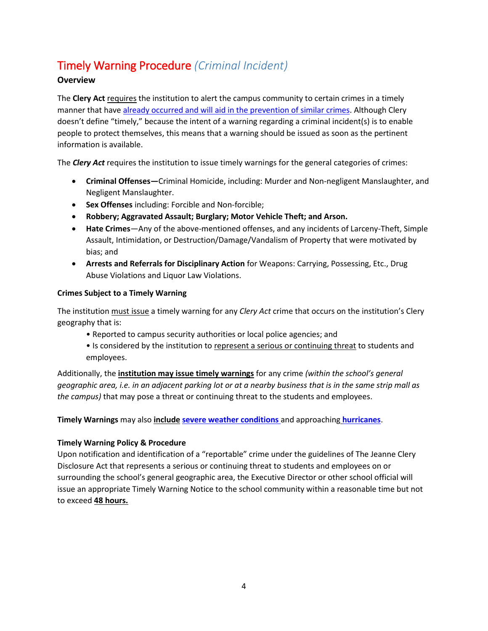# <span id="page-3-0"></span>Timely Warning Procedure *(Criminal Incident)*

## **Overview**

The **Clery Act** requires the institution to alert the campus community to certain crimes in a timely manner that have already occurred and will aid in the prevention of similar crimes. Although Clery doesn't define "timely," because the intent of a warning regarding a criminal incident(s) is to enable people to protect themselves, this means that a warning should be issued as soon as the pertinent information is available.

The *Clery Act* requires the institution to issue timely warnings for the general categories of crimes:

- **Criminal Offenses—**Criminal Homicide, including: Murder and Non-negligent Manslaughter, and Negligent Manslaughter.
- **Sex Offenses** including: Forcible and Non-forcible;
- **Robbery; Aggravated Assault; Burglary; Motor Vehicle Theft; and Arson.**
- **Hate Crimes**—Any of the above-mentioned offenses, and any incidents of Larceny-Theft, Simple Assault, Intimidation, or Destruction/Damage/Vandalism of Property that were motivated by bias; and
- **Arrests and Referrals for Disciplinary Action** for Weapons: Carrying, Possessing, Etc., Drug Abuse Violations and Liquor Law Violations.

## **Crimes Subject to a Timely Warning**

The institution must issue a timely warning for any *Clery Act* crime that occurs on the institution's Clery geography that is:

- Reported to campus security authorities or local police agencies; and
- Is considered by the institution to represent a serious or continuing threat to students and employees.

Additionally, the **institution may issue timely warnings** for any crime *(within the school's general geographic area, i.e. in an adjacent parking lot or at a nearby business that is in the same strip mall as the campus)* that may pose a threat or continuing threat to the students and employees.

**Timely Warnings** may also **include severe weather conditions** and approaching **hurricanes**.

## **Timely Warning Policy & Procedure**

Upon notification and identification of a "reportable" crime under the guidelines of The Jeanne Clery Disclosure Act that represents a serious or continuing threat to students and employees on or surrounding the school's general geographic area, the Executive Director or other school official will issue an appropriate Timely Warning Notice to the school community within a reasonable time but not to exceed **48 hours.**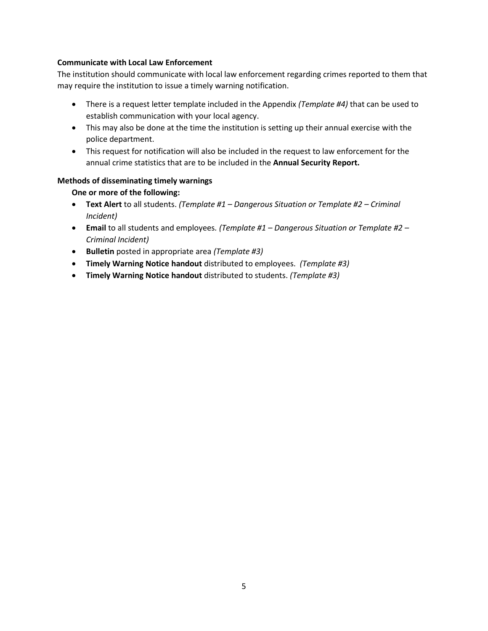#### **Communicate with Local Law Enforcement**

The institution should communicate with local law enforcement regarding crimes reported to them that may require the institution to issue a timely warning notification.

- There is a request letter template included in the Appendix *(Template #4)* that can be used to establish communication with your local agency.
- This may also be done at the time the institution is setting up their annual exercise with the police department.
- This request for notification will also be included in the request to law enforcement for the annual crime statistics that are to be included in the **Annual Security Report.**

### **Methods of disseminating timely warnings**

**One or more of the following:**

- **Text Alert** to all students. *(Template #1 – Dangerous Situation or Template #2 – Criminal Incident)*
- **Email** to all students and employees*. (Template #1 – Dangerous Situation or Template #2 – Criminal Incident)*
- **Bulletin** posted in appropriate area *(Template #3)*
- **Timely Warning Notice handout** distributed to employees. *(Template #3)*
- **Timely Warning Notice handout** distributed to students. *(Template #3)*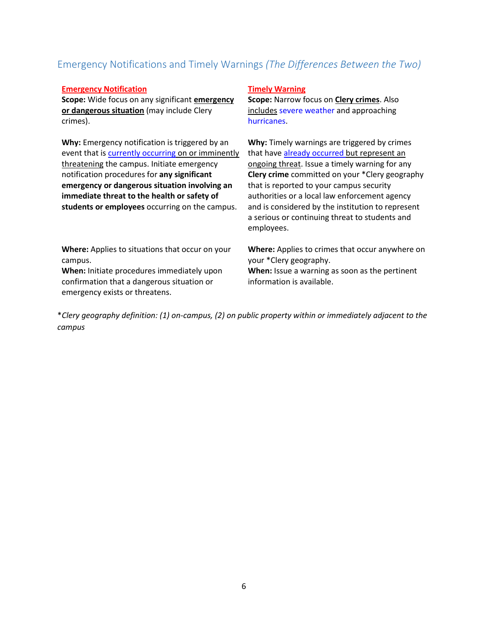## <span id="page-5-0"></span>Emergency Notifications and Timely Warnings *(The Differences Between the Two)*

#### **Emergency Notification**

**Scope:** Wide focus on any significant **emergency or dangerous situation** (may include Clery crimes).

**Why:** Emergency notification is triggered by an event that is currently occurring on or imminently threatening the campus. Initiate emergency notification procedures for **any significant emergency or dangerous situation involving an immediate threat to the health or safety of students or employees** occurring on the campus.

**Where:** Applies to situations that occur on your campus.

**When:** Initiate procedures immediately upon confirmation that a dangerous situation or emergency exists or threatens.

#### **Timely Warning**

**Scope:** Narrow focus on **Clery crimes**. Also includes severe weather and approaching hurricanes.

**Why:** Timely warnings are triggered by crimes that have already occurred but represent an ongoing threat. Issue a timely warning for any **Clery crime** committed on your \*Clery geography that is reported to your campus security authorities or a local law enforcement agency and is considered by the institution to represent a serious or continuing threat to students and employees.

**Where:** Applies to crimes that occur anywhere on your \*Clery geography. **When:** Issue a warning as soon as the pertinent information is available.

\**Clery geography definition: (1) on-campus, (2) on public property within or immediately adjacent to the campus*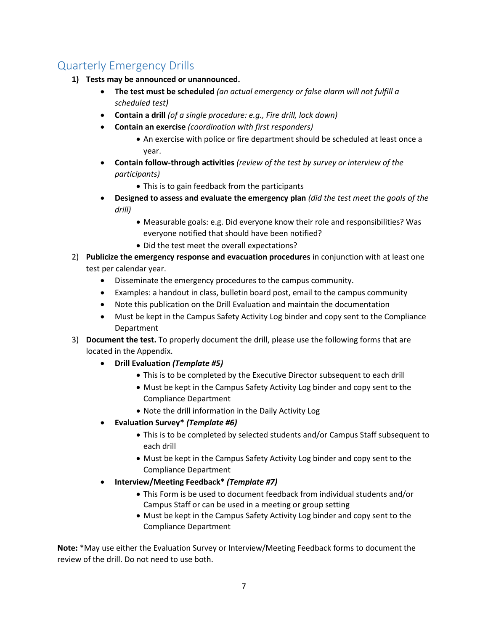## <span id="page-6-0"></span>Quarterly Emergency Drills

- **1) Tests may be announced or unannounced.** 
	- **The test must be scheduled** *(an actual emergency or false alarm will not fulfill a scheduled test)*
	- **Contain a drill** *(of a single procedure: e.g., Fire drill, lock down)*
	- **Contain an exercise** *(coordination with first responders)*
		- An exercise with police or fire department should be scheduled at least once a year.
	- **Contain follow-through activities** *(review of the test by survey or interview of the participants)*
		- This is to gain feedback from the participants
	- **Designed to assess and evaluate the emergency plan** *(did the test meet the goals of the drill)*
		- Measurable goals: e.g. Did everyone know their role and responsibilities? Was everyone notified that should have been notified?
		- Did the test meet the overall expectations?
- 2) **Publicize the emergency response and evacuation procedures** in conjunction with at least one test per calendar year.
	- Disseminate the emergency procedures to the campus community.
	- Examples: a handout in class, bulletin board post, email to the campus community
	- Note this publication on the Drill Evaluation and maintain the documentation
	- Must be kept in the Campus Safety Activity Log binder and copy sent to the Compliance Department
- 3) **Document the test.** To properly document the drill, please use the following forms that are located in the Appendix.
	- **Drill Evaluation** *(Template #5)*
		- This is to be completed by the Executive Director subsequent to each drill
		- Must be kept in the Campus Safety Activity Log binder and copy sent to the Compliance Department
		- Note the drill information in the Daily Activity Log
	- **Evaluation Survey\*** *(Template #6)*
		- This is to be completed by selected students and/or Campus Staff subsequent to each drill
		- Must be kept in the Campus Safety Activity Log binder and copy sent to the Compliance Department
	- **Interview/Meeting Feedback\*** *(Template #7)*
		- This Form is be used to document feedback from individual students and/or Campus Staff or can be used in a meeting or group setting
		- Must be kept in the Campus Safety Activity Log binder and copy sent to the Compliance Department

**Note:** \*May use either the Evaluation Survey or Interview/Meeting Feedback forms to document the review of the drill. Do not need to use both.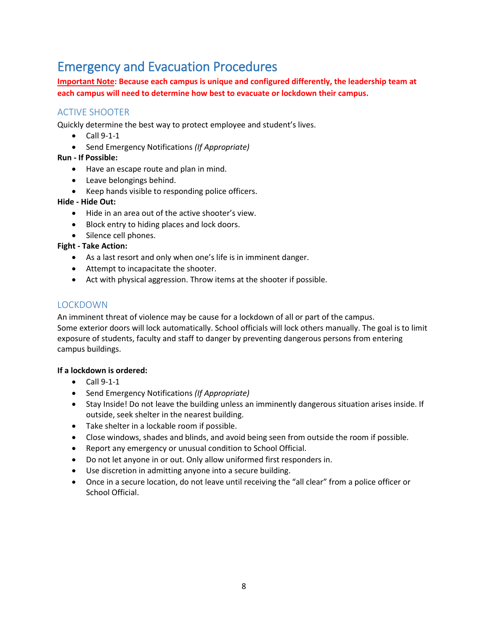# <span id="page-7-0"></span>Emergency and Evacuation Procedures

**Important Note: Because each campus is unique and configured differently, the leadership team at each campus will need to determine how best to evacuate or lockdown their campus.**

## <span id="page-7-1"></span>ACTIVE SHOOTER

Quickly determine the best way to protect employee and student's lives.

- $\bullet$  Call 9-1-1
- Send Emergency Notifications *(If Appropriate)*

### **Run - If Possible:**

- Have an escape route and plan in mind.
- Leave belongings behind.
- Keep hands visible to responding police officers.

### **Hide - Hide Out:**

- Hide in an area out of the active shooter's view.
- Block entry to hiding places and lock doors.
- Silence cell phones.

### **Fight - Take Action:**

- As a last resort and only when one's life is in imminent danger.
- Attempt to incapacitate the shooter.
- Act with physical aggression. Throw items at the shooter if possible.

## <span id="page-7-2"></span>LOCKDOWN

An imminent threat of violence may be cause for a lockdown of all or part of the campus. Some exterior doors will lock automatically. School officials will lock others manually. The goal is to limit exposure of students, faculty and staff to danger by preventing dangerous persons from entering campus buildings.

#### **If a lockdown is ordered:**

- $\bullet$  Call 9-1-1
- Send Emergency Notifications *(If Appropriate)*
- Stay Inside! Do not leave the building unless an imminently dangerous situation arises inside. If outside, seek shelter in the nearest building.
- Take shelter in a lockable room if possible.
- Close windows, shades and blinds, and avoid being seen from outside the room if possible.
- Report any emergency or unusual condition to School Official.
- Do not let anyone in or out. Only allow uniformed first responders in.
- Use discretion in admitting anyone into a secure building.
- Once in a secure location, do not leave until receiving the "all clear" from a police officer or School Official.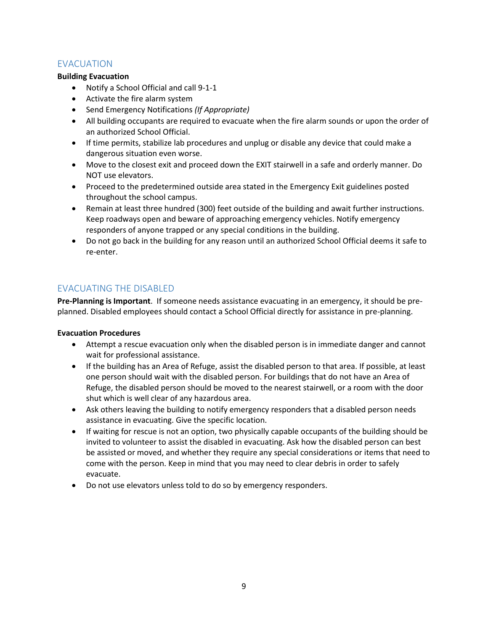## <span id="page-8-0"></span>EVACUATION

### **Building Evacuation**

- Notify a School Official and call 9-1-1
- Activate the fire alarm system
- Send Emergency Notifications *(If Appropriate)*
- All building occupants are required to evacuate when the fire alarm sounds or upon the order of an authorized School Official.
- If time permits, stabilize lab procedures and unplug or disable any device that could make a dangerous situation even worse.
- Move to the closest exit and proceed down the EXIT stairwell in a safe and orderly manner. Do NOT use elevators.
- Proceed to the predetermined outside area stated in the Emergency Exit guidelines posted throughout the school campus.
- Remain at least three hundred (300) feet outside of the building and await further instructions. Keep roadways open and beware of approaching emergency vehicles. Notify emergency responders of anyone trapped or any special conditions in the building.
- Do not go back in the building for any reason until an authorized School Official deems it safe to re-enter.

## <span id="page-8-1"></span>EVACUATING THE DISABLED

**Pre-Planning is Important**. If someone needs assistance evacuating in an emergency, it should be preplanned. Disabled employees should contact a School Official directly for assistance in pre-planning.

#### **Evacuation Procedures**

- Attempt a rescue evacuation only when the disabled person is in immediate danger and cannot wait for professional assistance.
- If the building has an Area of Refuge, assist the disabled person to that area. If possible, at least one person should wait with the disabled person. For buildings that do not have an Area of Refuge, the disabled person should be moved to the nearest stairwell, or a room with the door shut which is well clear of any hazardous area.
- Ask others leaving the building to notify emergency responders that a disabled person needs assistance in evacuating. Give the specific location.
- If waiting for rescue is not an option, two physically capable occupants of the building should be invited to volunteer to assist the disabled in evacuating. Ask how the disabled person can best be assisted or moved, and whether they require any special considerations or items that need to come with the person. Keep in mind that you may need to clear debris in order to safely evacuate.
- Do not use elevators unless told to do so by emergency responders.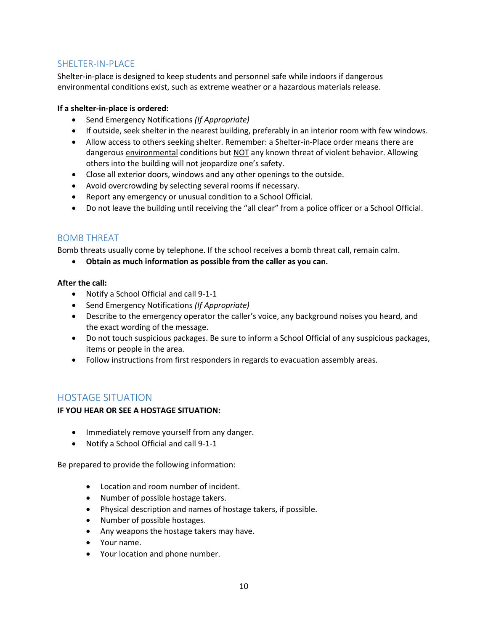## <span id="page-9-0"></span>SHELTER-IN-PLACE

Shelter-in-place is designed to keep students and personnel safe while indoors if dangerous environmental conditions exist, such as extreme weather or a hazardous materials release.

#### **If a shelter-in-place is ordered:**

- Send Emergency Notifications *(If Appropriate)*
- If outside, seek shelter in the nearest building, preferably in an interior room with few windows.
- Allow access to others seeking shelter. Remember: a Shelter-in-Place order means there are dangerous environmental conditions but NOT any known threat of violent behavior. Allowing others into the building will not jeopardize one's safety.
- Close all exterior doors, windows and any other openings to the outside.
- Avoid overcrowding by selecting several rooms if necessary.
- Report any emergency or unusual condition to a School Official.
- Do not leave the building until receiving the "all clear" from a police officer or a School Official.

## <span id="page-9-1"></span>BOMB THREAT

Bomb threats usually come by telephone. If the school receives a bomb threat call, remain calm.

**Obtain as much information as possible from the caller as you can.**

### **After the call:**

- Notify a School Official and call 9-1-1
- Send Emergency Notifications *(If Appropriate)*
- Describe to the emergency operator the caller's voice, any background noises you heard, and the exact wording of the message.
- Do not touch suspicious packages. Be sure to inform a School Official of any suspicious packages, items or people in the area.
- Follow instructions from first responders in regards to evacuation assembly areas.

## <span id="page-9-2"></span>HOSTAGE SITUATION

#### **IF YOU HEAR OR SEE A HOSTAGE SITUATION:**

- Immediately remove yourself from any danger.
- Notify a School Official and call 9-1-1

Be prepared to provide the following information:

- Location and room number of incident.
- Number of possible hostage takers.
- Physical description and names of hostage takers, if possible.
- Number of possible hostages.
- Any weapons the hostage takers may have.
- Your name.
- Your location and phone number.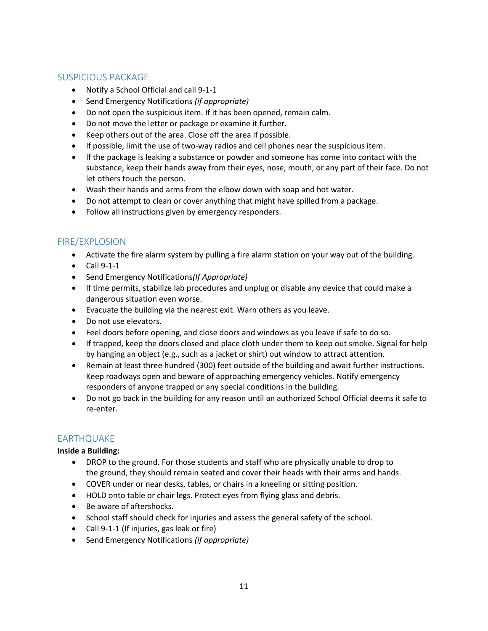## <span id="page-10-0"></span>SUSPICIOUS PACKAGE

- Notify a School Official and call 9-1-1
- Send Emergency Notifications *(if appropriate)*
- Do not open the suspicious item. If it has been opened, remain calm.
- Do not move the letter or package or examine it further.
- Keep others out of the area. Close off the area if possible.
- If possible, limit the use of two-way radios and cell phones near the suspicious item.
- If the package is leaking a substance or powder and someone has come into contact with the substance, keep their hands away from their eyes, nose, mouth, or any part of their face. Do not let others touch the person.
- Wash their hands and arms from the elbow down with soap and hot water.
- Do not attempt to clean or cover anything that might have spilled from a package.
- Follow all instructions given by emergency responders.

## <span id="page-10-1"></span>FIRE/EXPLOSION

- Activate the fire alarm system by pulling a fire alarm station on your way out of the building.
- $\bullet$  Call 9-1-1
- Send Emergency Notifications*(If Appropriate)*
- If time permits, stabilize lab procedures and unplug or disable any device that could make a dangerous situation even worse.
- Evacuate the building via the nearest exit. Warn others as you leave.
- Do not use elevators.
- Feel doors before opening, and close doors and windows as you leave if safe to do so.
- If trapped, keep the doors closed and place cloth under them to keep out smoke. Signal for help by hanging an object (e.g., such as a jacket or shirt) out window to attract attention.
- Remain at least three hundred (300) feet outside of the building and await further instructions. Keep roadways open and beware of approaching emergency vehicles. Notify emergency responders of anyone trapped or any special conditions in the building.
- Do not go back in the building for any reason until an authorized School Official deems it safe to re-enter.

## <span id="page-10-2"></span>EARTHQUAKE

#### **Inside a Building:**

- DROP to the ground. For those students and staff who are physically unable to drop to the ground, they should remain seated and cover their heads with their arms and hands.
- COVER under or near desks, tables, or chairs in a kneeling or sitting position.
- HOLD onto table or chair legs. Protect eyes from flying glass and debris.
- Be aware of aftershocks.
- School staff should check for injuries and assess the general safety of the school.
- Call 9-1-1 (If injuries, gas leak or fire)
- Send Emergency Notifications *(if appropriate)*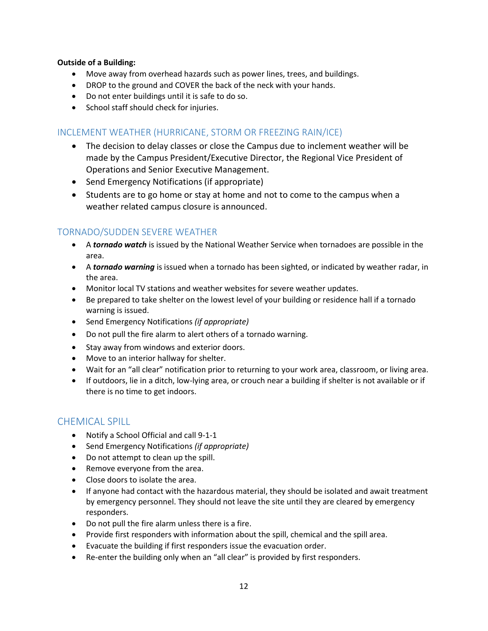#### **Outside of a Building:**

- Move away from overhead hazards such as power lines, trees, and buildings.
- DROP to the ground and COVER the back of the neck with your hands.
- Do not enter buildings until it is safe to do so.
- School staff should check for injuries.

## <span id="page-11-0"></span>INCLEMENT WEATHER (HURRICANE, STORM OR FREEZING RAIN/ICE)

- The decision to delay classes or close the Campus due to inclement weather will be made by the Campus President/Executive Director, the Regional Vice President of Operations and Senior Executive Management.
- Send Emergency Notifications (if appropriate)
- Students are to go home or stay at home and not to come to the campus when a weather related campus closure is announced.

## <span id="page-11-1"></span>TORNADO/SUDDEN SEVERE WEATHER

- A *tornado watch* is issued by the National Weather Service when tornadoes are possible in the area.
- A *tornado warning* is issued when a tornado has been sighted, or indicated by weather radar, in the area.
- Monitor local TV stations and weather websites for severe weather updates.
- Be prepared to take shelter on the lowest level of your building or residence hall if a tornado warning is issued.
- Send Emergency Notifications *(if appropriate)*
- Do not pull the fire alarm to alert others of a tornado warning.
- Stay away from windows and exterior doors.
- Move to an interior hallway for shelter.
- Wait for an "all clear" notification prior to returning to your work area, classroom, or living area.
- If outdoors, lie in a ditch, low-lying area, or crouch near a building if shelter is not available or if there is no time to get indoors.

## <span id="page-11-2"></span>CHEMICAL SPILL

- Notify a School Official and call 9-1-1
- Send Emergency Notifications *(if appropriate)*
- Do not attempt to clean up the spill.
- Remove everyone from the area.
- Close doors to isolate the area.
- If anyone had contact with the hazardous material, they should be isolated and await treatment by emergency personnel. They should not leave the site until they are cleared by emergency responders.
- Do not pull the fire alarm unless there is a fire.
- Provide first responders with information about the spill, chemical and the spill area.
- Evacuate the building if first responders issue the evacuation order.
- Re-enter the building only when an "all clear" is provided by first responders.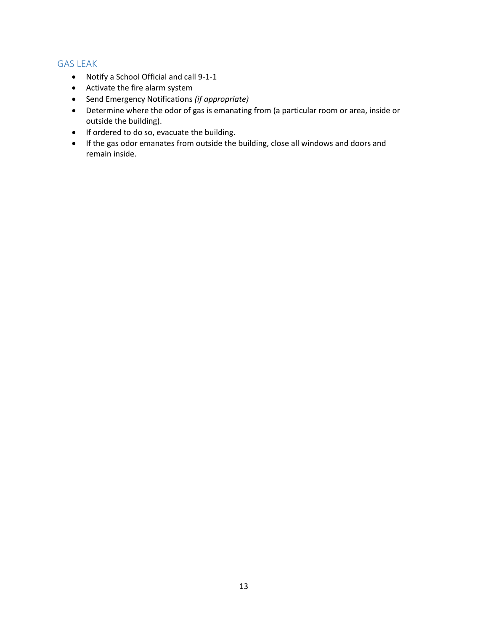## <span id="page-12-0"></span>GAS LEAK

- Notify a School Official and call 9-1-1
- Activate the fire alarm system
- Send Emergency Notifications *(if appropriate)*
- Determine where the odor of gas is emanating from (a particular room or area, inside or outside the building).
- If ordered to do so, evacuate the building.
- If the gas odor emanates from outside the building, close all windows and doors and remain inside.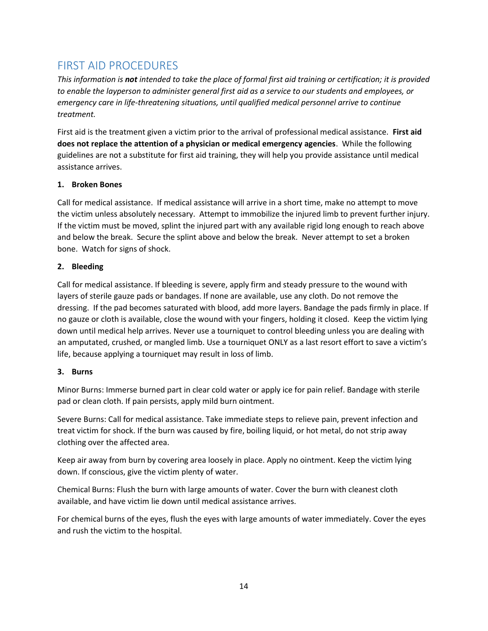## <span id="page-13-0"></span>FIRST AID PROCEDURES

*This information is not intended to take the place of formal first aid training or certification; it is provided to enable the layperson to administer general first aid as a service to our students and employees, or emergency care in life-threatening situations, until qualified medical personnel arrive to continue treatment.*

First aid is the treatment given a victim prior to the arrival of professional medical assistance. **First aid does not replace the attention of a physician or medical emergency agencies**. While the following guidelines are not a substitute for first aid training, they will help you provide assistance until medical assistance arrives.

## **1. Broken Bones**

Call for medical assistance. If medical assistance will arrive in a short time, make no attempt to move the victim unless absolutely necessary. Attempt to immobilize the injured limb to prevent further injury. If the victim must be moved, splint the injured part with any available rigid long enough to reach above and below the break. Secure the splint above and below the break. Never attempt to set a broken bone. Watch for signs of shock.

## **2. Bleeding**

Call for medical assistance. If bleeding is severe, apply firm and steady pressure to the wound with layers of sterile gauze pads or bandages. If none are available, use any cloth. Do not remove the dressing. If the pad becomes saturated with blood, add more layers. Bandage the pads firmly in place. If no gauze or cloth is available, close the wound with your fingers, holding it closed. Keep the victim lying down until medical help arrives. Never use a tourniquet to control bleeding unless you are dealing with an amputated, crushed, or mangled limb. Use a tourniquet ONLY as a last resort effort to save a victim's life, because applying a tourniquet may result in loss of limb.

## **3. Burns**

Minor Burns: Immerse burned part in clear cold water or apply ice for pain relief. Bandage with sterile pad or clean cloth. If pain persists, apply mild burn ointment.

Severe Burns: Call for medical assistance. Take immediate steps to relieve pain, prevent infection and treat victim for shock. If the burn was caused by fire, boiling liquid, or hot metal, do not strip away clothing over the affected area.

Keep air away from burn by covering area loosely in place. Apply no ointment. Keep the victim lying down. If conscious, give the victim plenty of water.

Chemical Burns: Flush the burn with large amounts of water. Cover the burn with cleanest cloth available, and have victim lie down until medical assistance arrives.

For chemical burns of the eyes, flush the eyes with large amounts of water immediately. Cover the eyes and rush the victim to the hospital.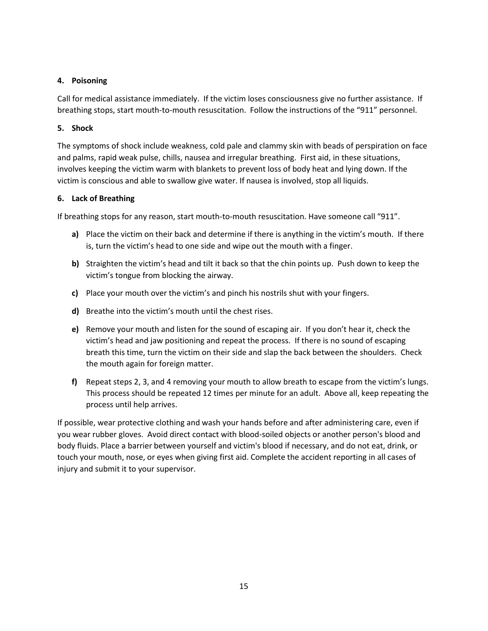## **4. Poisoning**

Call for medical assistance immediately. If the victim loses consciousness give no further assistance. If breathing stops, start mouth-to-mouth resuscitation. Follow the instructions of the "911" personnel.

## **5. Shock**

The symptoms of shock include weakness, cold pale and clammy skin with beads of perspiration on face and palms, rapid weak pulse, chills, nausea and irregular breathing. First aid, in these situations, involves keeping the victim warm with blankets to prevent loss of body heat and lying down. If the victim is conscious and able to swallow give water. If nausea is involved, stop all liquids.

## **6. Lack of Breathing**

If breathing stops for any reason, start mouth-to-mouth resuscitation. Have someone call "911".

- **a)** Place the victim on their back and determine if there is anything in the victim's mouth. If there is, turn the victim's head to one side and wipe out the mouth with a finger.
- **b)** Straighten the victim's head and tilt it back so that the chin points up. Push down to keep the victim's tongue from blocking the airway.
- **c)** Place your mouth over the victim's and pinch his nostrils shut with your fingers.
- **d)** Breathe into the victim's mouth until the chest rises.
- **e)** Remove your mouth and listen for the sound of escaping air. If you don't hear it, check the victim's head and jaw positioning and repeat the process. If there is no sound of escaping breath this time, turn the victim on their side and slap the back between the shoulders. Check the mouth again for foreign matter.
- **f)** Repeat steps 2, 3, and 4 removing your mouth to allow breath to escape from the victim's lungs. This process should be repeated 12 times per minute for an adult. Above all, keep repeating the process until help arrives.

If possible, wear protective clothing and wash your hands before and after administering care, even if you wear rubber gloves. Avoid direct contact with blood-soiled objects or another person's blood and body fluids. Place a barrier between yourself and victim's blood if necessary, and do not eat, drink, or touch your mouth, nose, or eyes when giving first aid. Complete the accident reporting in all cases of injury and submit it to your supervisor.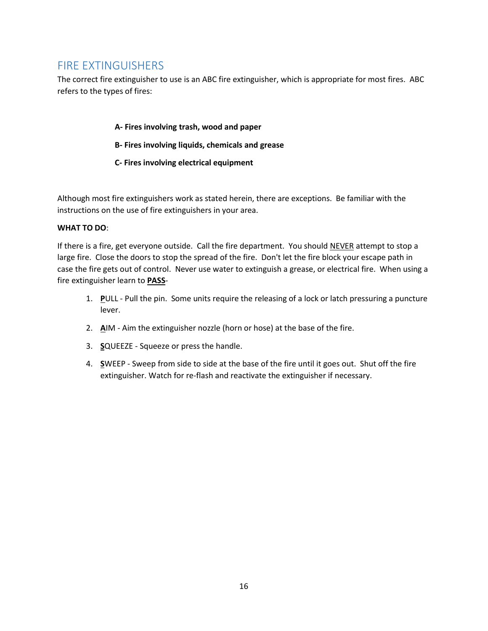## <span id="page-15-0"></span>FIRE EXTINGUISHERS

The correct fire extinguisher to use is an ABC fire extinguisher, which is appropriate for most fires. ABC refers to the types of fires:

### **A- Fires involving trash, wood and paper**

- **B- Fires involving liquids, chemicals and grease**
- **C- Fires involving electrical equipment**

Although most fire extinguishers work as stated herein, there are exceptions. Be familiar with the instructions on the use of fire extinguishers in your area.

### **WHAT TO DO**:

If there is a fire, get everyone outside. Call the fire department. You should NEVER attempt to stop a large fire. Close the doors to stop the spread of the fire. Don't let the fire block your escape path in case the fire gets out of control. Never use water to extinguish a grease, or electrical fire. When using a fire extinguisher learn to **PASS**-

- 1. **P**ULL Pull the pin. Some units require the releasing of a lock or latch pressuring a puncture lever.
- 2. **A**IM Aim the extinguisher nozzle (horn or hose) at the base of the fire.
- 3. **S**QUEEZE Squeeze or press the handle.
- 4. **S**WEEP Sweep from side to side at the base of the fire until it goes out. Shut off the fire extinguisher. Watch for re-flash and reactivate the extinguisher if necessary.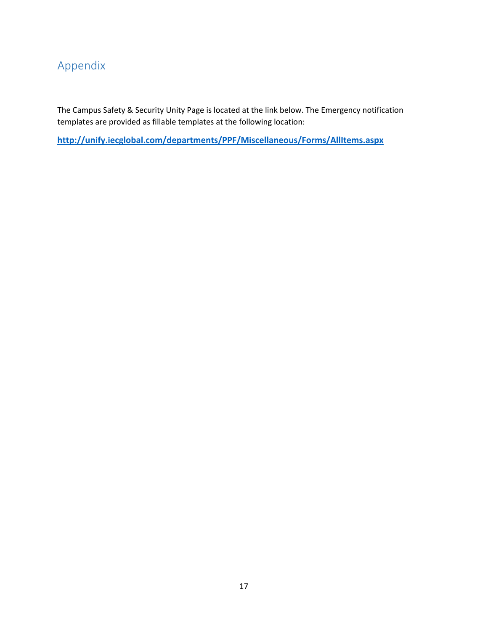# <span id="page-16-0"></span>Appendix

The Campus Safety & Security Unity Page is located at the link below. The Emergency notification templates are provided as fillable templates at the following location:

**<http://unify.iecglobal.com/departments/PPF/Miscellaneous/Forms/AllItems.aspx>**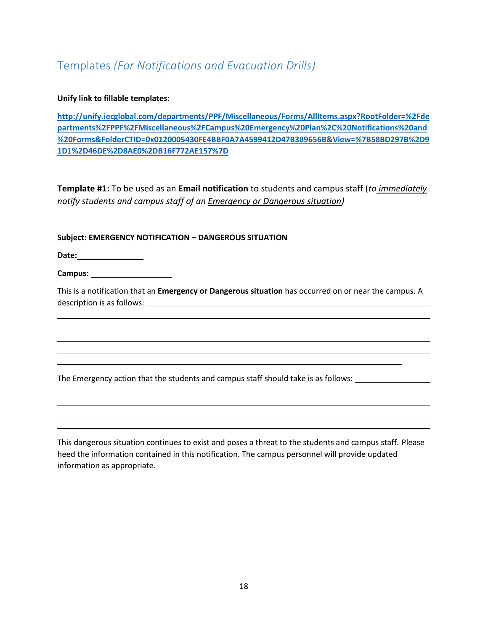## <span id="page-17-0"></span>Templates *(For Notifications and Evacuation Drills)*

#### **Unify link to fillable templates:**

**[http://unify.iecglobal.com/departments/PPF/Miscellaneous/Forms/AllItems.aspx?RootFolder=%2Fde](http://unify.iecglobal.com/departments/PPF/Miscellaneous/Forms/AllItems.aspx?RootFolder=%2Fdepartments%2FPPF%2FMiscellaneous%2FCampus%20Emergency%20Plan%2C%20Notifications%20and%20Forms&FolderCTID=0x0120005430FE4BBF0A7A4599412D47B389656B&View=%7B58BD297B%2D91D1%2D46DE%2D8AE0%2DB16F772AE157%7D) [partments%2FPPF%2FMiscellaneous%2FCampus%20Emergency%20Plan%2C%20Notifications%20and](http://unify.iecglobal.com/departments/PPF/Miscellaneous/Forms/AllItems.aspx?RootFolder=%2Fdepartments%2FPPF%2FMiscellaneous%2FCampus%20Emergency%20Plan%2C%20Notifications%20and%20Forms&FolderCTID=0x0120005430FE4BBF0A7A4599412D47B389656B&View=%7B58BD297B%2D91D1%2D46DE%2D8AE0%2DB16F772AE157%7D) [%20Forms&FolderCTID=0x0120005430FE4BBF0A7A4599412D47B389656B&View=%7B58BD297B%2D9](http://unify.iecglobal.com/departments/PPF/Miscellaneous/Forms/AllItems.aspx?RootFolder=%2Fdepartments%2FPPF%2FMiscellaneous%2FCampus%20Emergency%20Plan%2C%20Notifications%20and%20Forms&FolderCTID=0x0120005430FE4BBF0A7A4599412D47B389656B&View=%7B58BD297B%2D91D1%2D46DE%2D8AE0%2DB16F772AE157%7D) [1D1%2D46DE%2D8AE0%2DB16F772AE157%7D](http://unify.iecglobal.com/departments/PPF/Miscellaneous/Forms/AllItems.aspx?RootFolder=%2Fdepartments%2FPPF%2FMiscellaneous%2FCampus%20Emergency%20Plan%2C%20Notifications%20and%20Forms&FolderCTID=0x0120005430FE4BBF0A7A4599412D47B389656B&View=%7B58BD297B%2D91D1%2D46DE%2D8AE0%2DB16F772AE157%7D)**

**Template #1:** To be used as an **Email notification** to students and campus staff (*to immediately notify students and campus staff of an Emergency or Dangerous situation)*

### **Subject: EMERGENCY NOTIFICATION – DANGEROUS SITUATION**

**Date:**

**Campus:** 

This is a notification that an **Emergency or Dangerous situation** has occurred on or near the campus. A description is as follows: <u>example and the set of the set of the set of the set of the set of the set of the set of the set of the set of the set of the set of the set of the set of the set of the set of the set of the se</u>

The Emergency action that the students and campus staff should take is as follows:

This dangerous situation continues to exist and poses a threat to the students and campus staff. Please heed the information contained in this notification. The campus personnel will provide updated information as appropriate.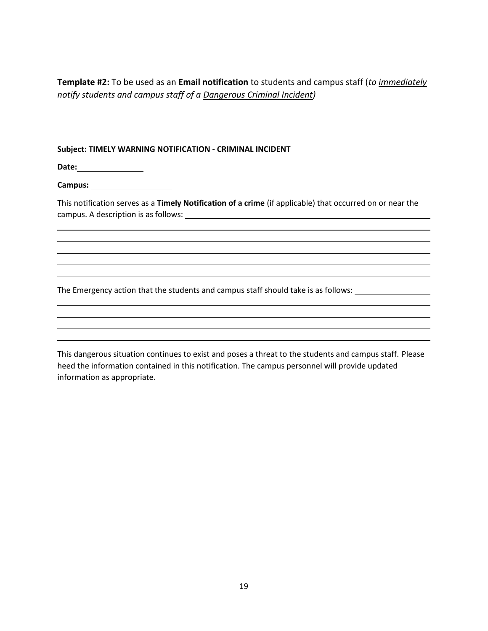**Template #2:** To be used as an **Email notification** to students and campus staff (*to immediately notify students and campus staff of a Dangerous Criminal Incident)*

#### **Subject: TIMELY WARNING NOTIFICATION - CRIMINAL INCIDENT**

**Date:**

**Campus:** 

This notification serves as a **Timely Notification of a crime** (if applicable) that occurred on or near the campus. A description is as follows:

The Emergency action that the students and campus staff should take is as follows:

This dangerous situation continues to exist and poses a threat to the students and campus staff. Please heed the information contained in this notification. The campus personnel will provide updated information as appropriate.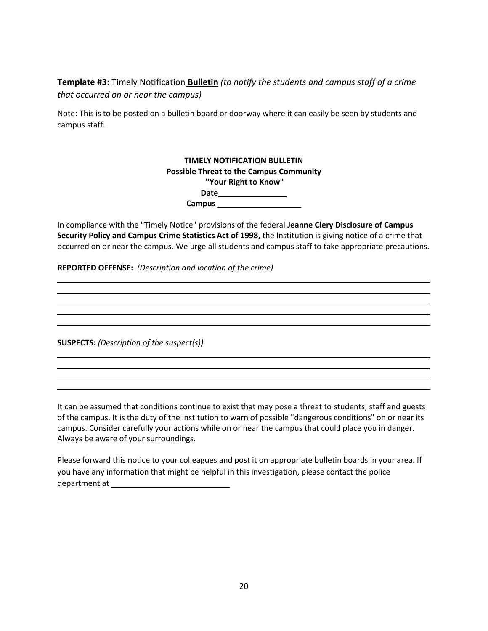**Template #3:** Timely Notification **Bulletin** *(to notify the students and campus staff of a crime that occurred on or near the campus)* 

Note: This is to be posted on a bulletin board or doorway where it can easily be seen by students and campus staff.

| <b>TIMELY NOTIFICATION BULLETIN</b>            |  |
|------------------------------------------------|--|
| <b>Possible Threat to the Campus Community</b> |  |
| "Your Right to Know"                           |  |
| Date                                           |  |
| Campus                                         |  |

In compliance with the "Timely Notice" provisions of the federal **Jeanne Clery Disclosure of Campus Security Policy and Campus Crime Statistics Act of 1998,** the Institution is giving notice of a crime that occurred on or near the campus. We urge all students and campus staff to take appropriate precautions.

**REPORTED OFFENSE:** *(Description and location of the crime)*

**SUSPECTS:** *(Description of the suspect(s))*

It can be assumed that conditions continue to exist that may pose a threat to students, staff and guests of the campus. It is the duty of the institution to warn of possible "dangerous conditions" on or near its campus. Consider carefully your actions while on or near the campus that could place you in danger. Always be aware of your surroundings.

Please forward this notice to your colleagues and post it on appropriate bulletin boards in your area. If you have any information that might be helpful in this investigation, please contact the police department at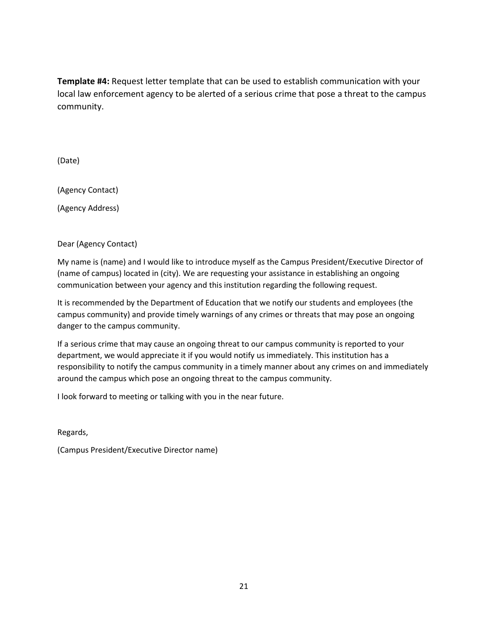**Template #4:** Request letter template that can be used to establish communication with your local law enforcement agency to be alerted of a serious crime that pose a threat to the campus community.

(Date)

(Agency Contact)

(Agency Address)

Dear (Agency Contact)

My name is (name) and I would like to introduce myself as the Campus President/Executive Director of (name of campus) located in (city). We are requesting your assistance in establishing an ongoing communication between your agency and this institution regarding the following request.

It is recommended by the Department of Education that we notify our students and employees (the campus community) and provide timely warnings of any crimes or threats that may pose an ongoing danger to the campus community.

If a serious crime that may cause an ongoing threat to our campus community is reported to your department, we would appreciate it if you would notify us immediately. This institution has a responsibility to notify the campus community in a timely manner about any crimes on and immediately around the campus which pose an ongoing threat to the campus community.

I look forward to meeting or talking with you in the near future.

Regards,

(Campus President/Executive Director name)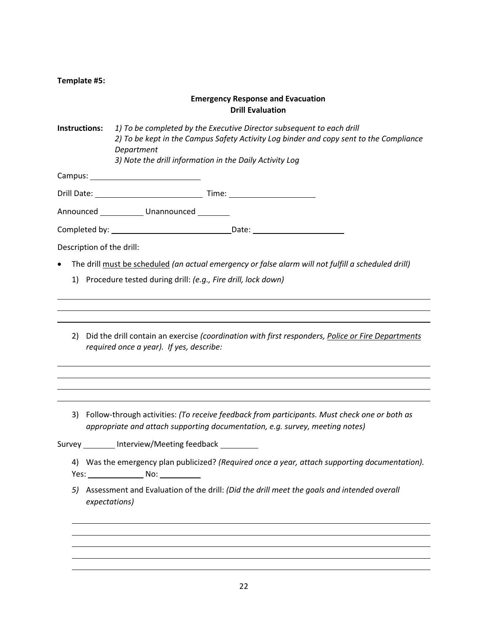| Template #5: |  |
|--------------|--|
|--------------|--|

## **Emergency Response and Evacuation Drill Evaluation**

**Instructions:** *1) To be completed by the Executive Director subsequent to each drill 2) To be kept in the Campus Safety Activity Log binder and copy sent to the Compliance Department 3) Note the drill information in the Daily Activity Log*

Campus:

Drill Date: Time:

Announced Unannounced

Completed by: Date:

Description of the drill:

- The drill must be scheduled *(an actual emergency or false alarm will not fulfill a scheduled drill)*
	- 1) Procedure tested during drill: *(e.g., Fire drill, lock down)*
	- 2) Did the drill contain an exercise *(coordination with first responders, Police or Fire Departments required once a year). If yes, describe:*
	- 3) Follow-through activities: *(To receive feedback from participants. Must check one or both as appropriate and attach supporting documentation, e.g. survey, meeting notes)*

Survey Interview/Meeting feedback

- 4) Was the emergency plan publicized? *(Required once a year, attach supporting documentation).* Yes: No:
- *5)* Assessment and Evaluation of the drill: *(Did the drill meet the goals and intended overall expectations)*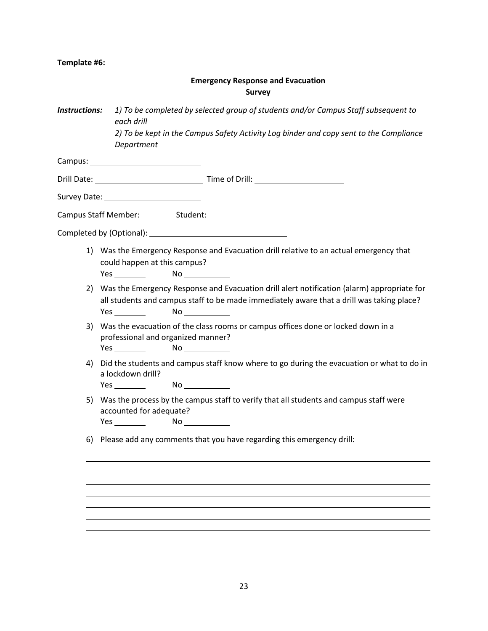## **Template #6:**

## **Emergency Response and Evacuation Survey**

| <b>Instructions:</b> | 1) To be completed by selected group of students and/or Campus Staff subsequent to<br>each drill<br>2) To be kept in the Campus Safety Activity Log binder and copy sent to the Compliance<br>Department                                                                                                                                                                                                                       |
|----------------------|--------------------------------------------------------------------------------------------------------------------------------------------------------------------------------------------------------------------------------------------------------------------------------------------------------------------------------------------------------------------------------------------------------------------------------|
|                      |                                                                                                                                                                                                                                                                                                                                                                                                                                |
|                      |                                                                                                                                                                                                                                                                                                                                                                                                                                |
|                      |                                                                                                                                                                                                                                                                                                                                                                                                                                |
|                      | Campus Staff Member: _________ Student: _____                                                                                                                                                                                                                                                                                                                                                                                  |
|                      |                                                                                                                                                                                                                                                                                                                                                                                                                                |
|                      | 1) Was the Emergency Response and Evacuation drill relative to an actual emergency that<br>could happen at this campus?<br>Yes <u>and the set of the set of the set of the set of the set of the set of the set of the set of the set of the set of the set of the set of the set of the set of the set of the set of the set of the set of the set of the </u><br>No                                                          |
| 2)                   | Was the Emergency Response and Evacuation drill alert notification (alarm) appropriate for<br>all students and campus staff to be made immediately aware that a drill was taking place?<br><b>Yes</b> and the set of the set of the set of the set of the set of the set of the set of the set of the set of the set of the set of the set of the set of the set of the set of the set of the set of the set of the set of the |
| 3)                   | Was the evacuation of the class rooms or campus offices done or locked down in a<br>professional and organized manner?<br>No                                                                                                                                                                                                                                                                                                   |
| 4)                   | Did the students and campus staff know where to go during the evacuation or what to do in<br>a lockdown drill?<br>Yes <u>and the set of the set of the set of the set of the set of the set of the set of the set of the set of the set of the set of the set of the set of the set of the set of the set of the set of the set of the set of the </u><br>No                                                                   |
| 5)                   | Was the process by the campus staff to verify that all students and campus staff were<br>accounted for adequate?<br>No                                                                                                                                                                                                                                                                                                         |
|                      | 6) Please add any comments that you have regarding this emergency drill:                                                                                                                                                                                                                                                                                                                                                       |
|                      |                                                                                                                                                                                                                                                                                                                                                                                                                                |
|                      |                                                                                                                                                                                                                                                                                                                                                                                                                                |
|                      |                                                                                                                                                                                                                                                                                                                                                                                                                                |
|                      |                                                                                                                                                                                                                                                                                                                                                                                                                                |